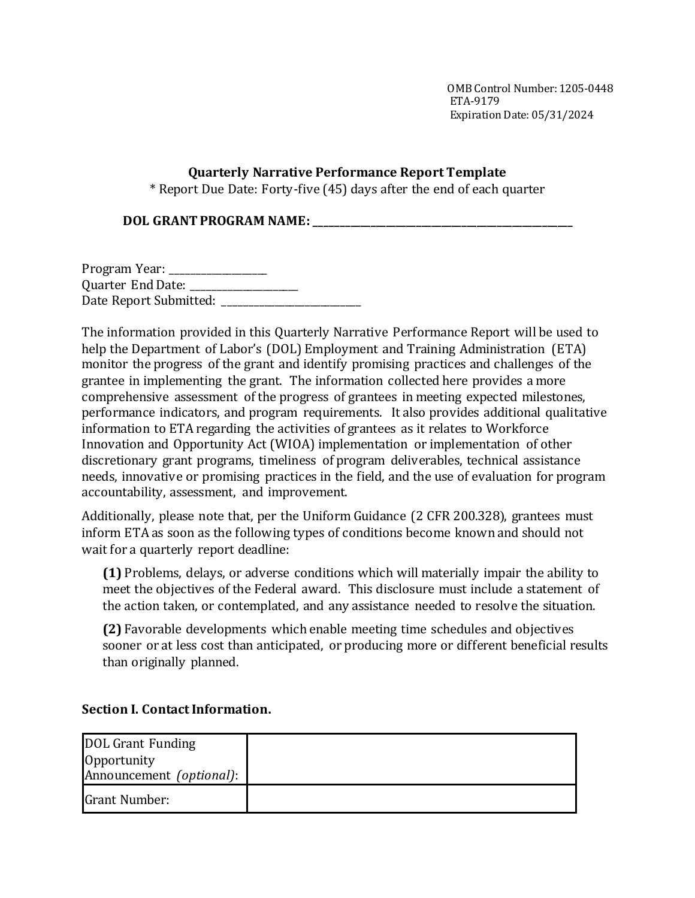OMB Control Number:1205-0448 ETA-9179 Expiration Date: 05/31/2024

### **Quarterly Narrative Performance Report Template**

\* Report Due Date: Forty-five (45) days after the end of each quarter

**DOL GRANT PROGRAM NAME: \_\_\_\_\_\_\_\_\_\_\_\_\_\_\_\_\_\_\_\_\_\_\_\_\_\_\_\_\_\_\_\_\_\_\_\_\_\_\_\_\_\_\_\_\_\_\_\_\_\_\_**

Program Year: \_\_\_\_\_\_\_\_\_\_\_\_\_\_\_\_\_ Quarter End Date: \_\_\_\_\_\_\_\_\_\_\_\_\_\_\_\_\_\_\_\_\_ Date Report Submitted: \_\_\_\_\_\_\_\_\_\_\_\_\_\_\_\_\_\_\_\_\_\_\_\_\_\_\_

The information provided in this Quarterly Narrative Performance Report will be used to help the Department of Labor's (DOL) Employment and Training Administration (ETA) monitor the progress of the grant and identify promising practices and challenges of the grantee in implementing the grant. The information collected here provides a more comprehensive assessment of the progress of grantees in meeting expected milestones, performance indicators, and program requirements. It also provides additional qualitative information to ETA regarding the activities of grantees as it relates to Workforce Innovation and Opportunity Act (WIOA) implementation or implementation of other discretionary grant programs, timeliness of program deliverables, technical assistance needs, innovative or promising practices in the field, and the use of evaluation for program accountability, assessment, and improvement.

Additionally, please note that, per the Uniform Guidance (2 CFR 200.328), grantees must inform ETA as soon as the following types of conditions become known and should not wait for a quarterly report deadline:

**(1)** Problems, delays, or adverse conditions which will materially impair the ability to meet the objectives of the Federal award. This disclosure must include a statement of the action taken, or contemplated, and any assistance needed to resolve the situation.

**(2)** Favorable developments which enable meeting time schedules and objectives sooner or at less cost than anticipated, or producing more or different beneficial results than originally planned.

# **Section I. Contact Information.**

| <b>DOL Grant Funding</b> |  |
|--------------------------|--|
| Opportunity              |  |
| Announcement (optional): |  |
| <b>Grant Number:</b>     |  |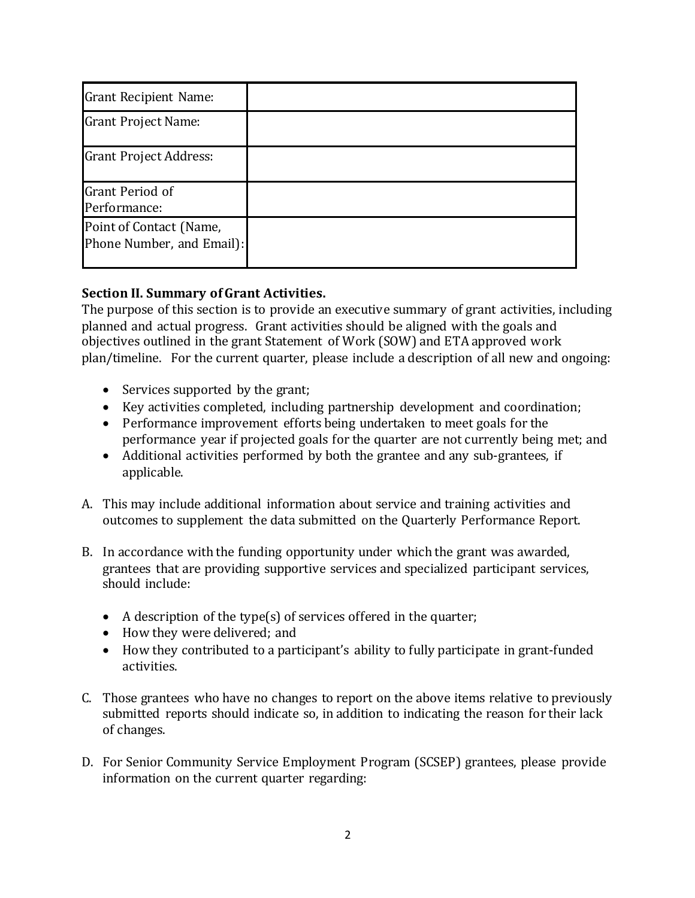| <b>Grant Recipient Name:</b>                         |  |
|------------------------------------------------------|--|
| <b>Grant Project Name:</b>                           |  |
| <b>Grant Project Address:</b>                        |  |
| <b>Grant Period of</b><br>Performance:               |  |
| Point of Contact (Name,<br>Phone Number, and Email): |  |

# **Section II. Summary of Grant Activities.**

The purpose of this section is to provide an executive summary of grant activities, including planned and actual progress. Grant activities should be aligned with the goals and objectives outlined in the grant Statement of Work (SOW) and ETA approved work plan/timeline. For the current quarter, please include a description of all new and ongoing:

- Services supported by the grant;
- Key activities completed, including partnership development and coordination;
- Performance improvement efforts being undertaken to meet goals for the performance year if projected goals for the quarter are not currently being met; and
- Additional activities performed by both the grantee and any sub-grantees, if applicable.
- A. This may include additional information about service and training activities and outcomes to supplement the data submitted on the Quarterly Performance Report.
- B. In accordance with the funding opportunity under which the grant was awarded, grantees that are providing supportive services and specialized participant services, should include:
	- $\bullet$  A description of the type(s) of services offered in the quarter;
	- How they were delivered; and
	- How they contributed to a participant's ability to fully participate in grant-funded activities.
- C. Those grantees who have no changes to report on the above items relative to previously submitted reports should indicate so, in addition to indicating the reason for their lack of changes.
- D. For Senior Community Service Employment Program (SCSEP) grantees, please provide information on the current quarter regarding: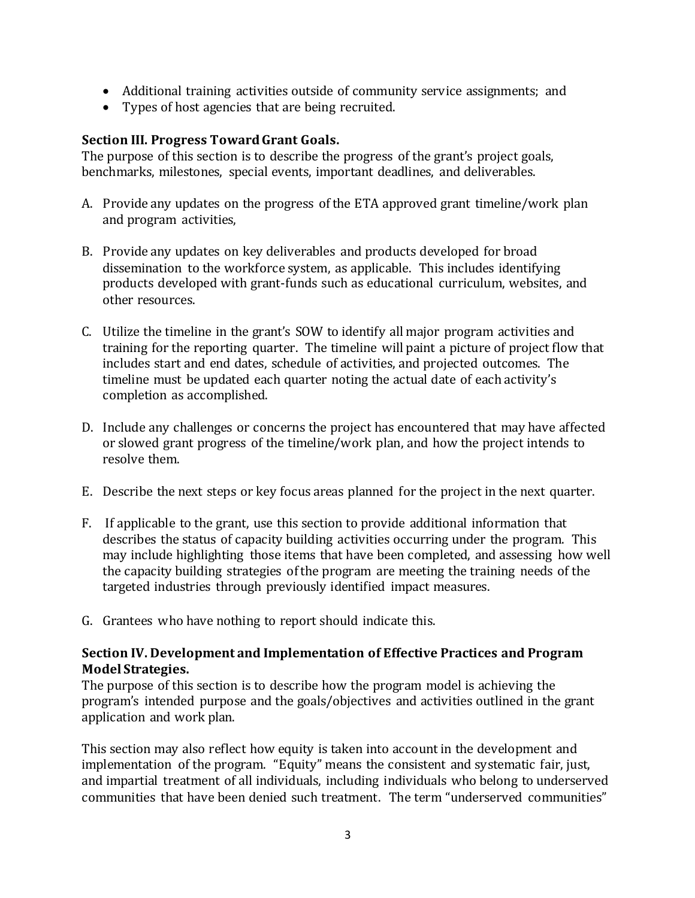- Additional training activities outside of community service assignments; and
- Types of host agencies that are being recruited.

### **Section III. Progress Toward Grant Goals.**

The purpose of this section is to describe the progress of the grant's project goals, benchmarks, milestones, special events, important deadlines, and deliverables.

- A. Provide any updates on the progress of the ETA approved grant timeline/work plan and program activities,
- B. Provide any updates on key deliverables and products developed for broad dissemination to the workforce system, as applicable. This includes identifying products developed with grant-funds such as educational curriculum, websites, and other resources.
- C. Utilize the timeline in the grant's SOW to identify all major program activities and training for the reporting quarter. The timeline will paint a picture of project flow that includes start and end dates, schedule of activities, and projected outcomes. The timeline must be updated each quarter noting the actual date of each activity's completion as accomplished.
- D. Include any challenges or concerns the project has encountered that may have affected or slowed grant progress of the timeline/work plan, and how the project intends to resolve them.
- E. Describe the next steps or key focus areas planned for the project in the next quarter.
- F. If applicable to the grant, use this section to provide additional information that describes the status of capacity building activities occurring under the program. This may include highlighting those items that have been completed, and assessing how well the capacity building strategies of the program are meeting the training needs of the targeted industries through previously identified impact measures.
- G. Grantees who have nothing to report should indicate this.

#### **Section IV. Development and Implementation of Effective Practices and Program Model Strategies.**

The purpose of this section is to describe how the program model is achieving the program's intended purpose and the goals/objectives and activities outlined in the grant application and work plan.

This section may also reflect how equity is taken into account in the development and implementation of the program."Equity" means the consistent and systematic fair, just, and impartial treatment of all individuals, including individuals who belong to underserved communities that have been denied such treatment. The term "underserved communities"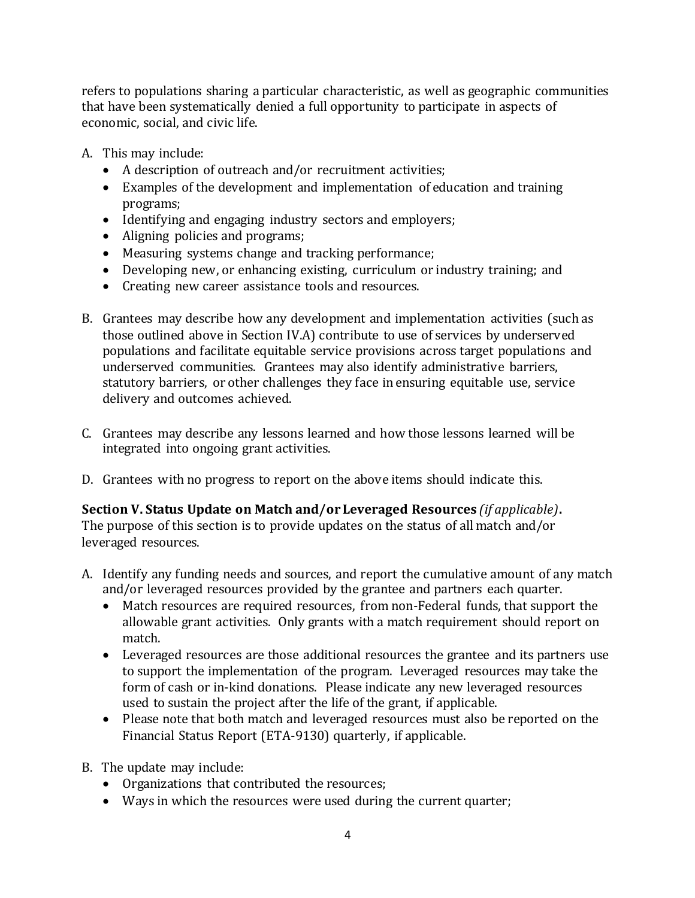refers to populations sharing a particular characteristic, as well as geographic communities that have been systematically denied a full opportunity to participate in aspects of economic, social, and civic life.

A. This may include:

- A description of outreach and/or recruitment activities;
- Examples of the development and implementation of education and training programs;
- Identifying and engaging industry sectors and employers;
- Aligning policies and programs;
- Measuring systems change and tracking performance;
- Developing new, or enhancing existing, curriculum or industry training; and
- Creating new career assistance tools and resources.
- B. Grantees may describe how any development and implementation activities (such as those outlined above in Section IV.A) contribute to use of services by underserved populations and facilitate equitable service provisions across target populations and underserved communities. Grantees may also identify administrative barriers, statutory barriers, or other challenges they face in ensuring equitable use, service delivery and outcomes achieved.
- C. Grantees may describe any lessons learned and how those lessons learned will be integrated into ongoing grant activities.
- D. Grantees with no progress to report on the above items should indicate this.

# **Section V. Status Update on Match and/or Leveraged Resources** *(if applicable)***.**

The purpose of this section is to provide updates on the status of all match and/or leveraged resources.

- A. Identify any funding needs and sources, and report the cumulative amount of any match and/or leveraged resources provided by the grantee and partners each quarter.
	- Match resources are required resources, from non-Federal funds, that support the allowable grant activities. Only grants with a match requirement should report on match.
	- Leveraged resources are those additional resources the grantee and its partners use to support the implementation of the program. Leveraged resources may take the form of cash or in-kind donations. Please indicate any new leveraged resources used to sustain the project after the life of the grant, if applicable.
	- Please note that both match and leveraged resources must also be reported on the Financial Status Report (ETA-9130) quarterly, if applicable.
- B. The update may include:
	- Organizations that contributed the resources;
	- Ways in which the resources were used during the current quarter;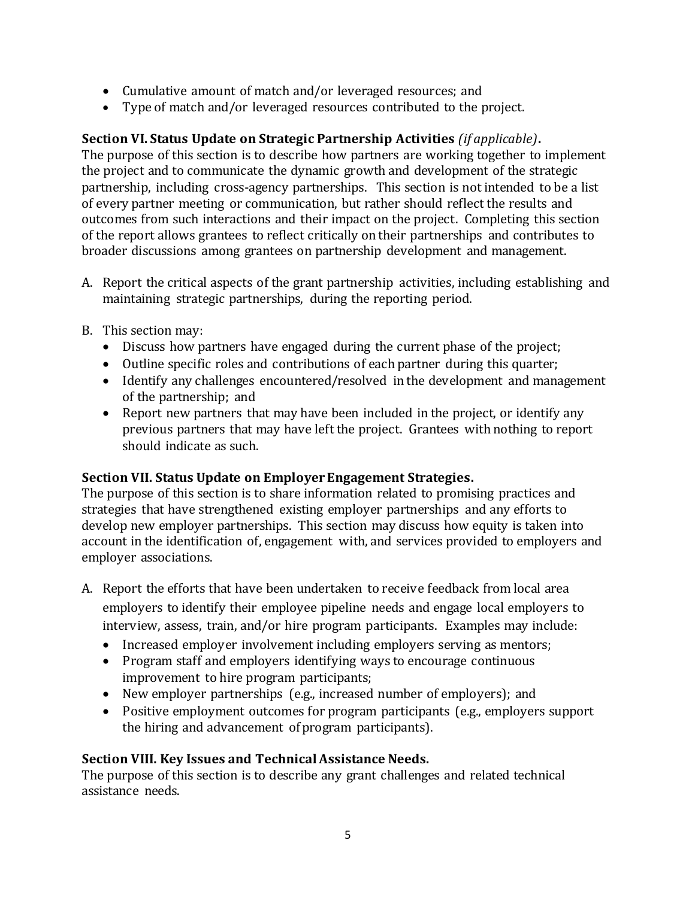- Cumulative amount of match and/or leveraged resources; and
- Type of match and/or leveraged resources contributed to the project.

# **Section VI. Status Update on Strategic Partnership Activities** *(if applicable)***.**

The purpose of this section is to describe how partners are working together to implement the project and to communicate the dynamic growth and development of the strategic partnership, including cross-agency partnerships. This section is not intended to be a list of every partner meeting or communication, but rather should reflect the results and outcomes from such interactions and their impact on the project. Completing this section of the report allows grantees to reflect critically on their partnerships and contributes to broader discussions among grantees on partnership development and management.

- A. Report the critical aspects of the grant partnership activities, including establishing and maintaining strategic partnerships, during the reporting period.
- B. This section may:
	- Discuss how partners have engaged during the current phase of the project;
	- Outline specific roles and contributions of each partner during this quarter;
	- Identify any challenges encountered/resolved in the development and management of the partnership; and
	- Report new partners that may have been included in the project, or identify any previous partners that may have left the project. Grantees with nothing to report should indicate as such.

#### **Section VII. Status Update on Employer Engagement Strategies.**

The purpose of this section is to share information related to promising practices and strategies that have strengthened existing employer partnerships and any efforts to develop new employer partnerships. This section may discuss how equity is taken into account in the identification of, engagement with, and services provided to employers and employer associations.

- A. Report the efforts that have been undertaken to receive feedback from local area employers to identify their employee pipeline needs and engage local employers to interview, assess, train, and/or hire program participants. Examples may include:
	- Increased employer involvement including employers serving as mentors;
	- Program staff and employers identifying ways to encourage continuous improvement to hire program participants;
	- New employer partnerships (e.g., increased number of employers); and
	- Positive employment outcomes for program participants (e.g., employers support the hiring and advancement of program participants).

# **Section VIII. Key Issues and Technical Assistance Needs.**

The purpose of this section is to describe any grant challenges and related technical assistance needs.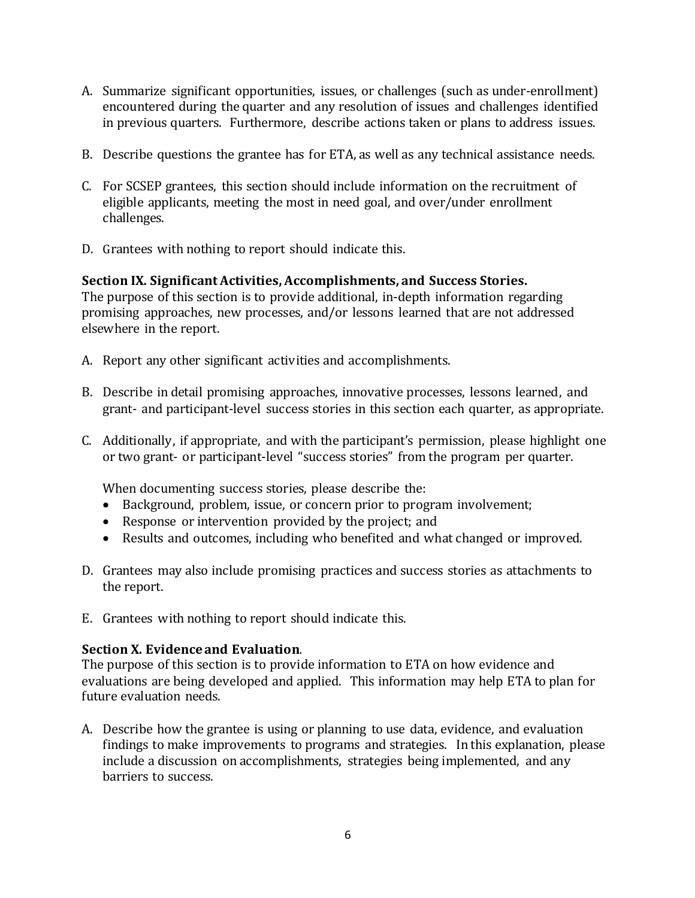- A. Summarize significant opportunities, issues, or challenges (such as under-enrollment) encountered during the quarter and any resolution of issues and challenges identified in previous quarters. Furthermore, describe actions taken or plans to address issues.
- B. Describe questions the grantee has for ETA, as well as any technical assistance needs.
- C. For SCSEP grantees, this section should include information on the recruitment of eligible applicants, meeting the most in need goal, and over/under enrollment challenges.
- D. Grantees with nothing to report should indicate this.

# **Section IX. Significant Activities, Accomplishments, and Success Stories.**

The purpose of this section is to provide additional, in-depth information regarding promising approaches, new processes, and/or lessons learned that are not addressed elsewhere in the report.

- A. Report any other significant activities and accomplishments.
- B. Describe in detail promising approaches, innovative processes, lessons learned, and grant- and participant-level success stories in this section each quarter, as appropriate.
- C. Additionally, if appropriate, and with the participant's permission, please highlight one or two grant- or participant-level "success stories" from the program per quarter.

When documenting success stories, please describe the:

- Background, problem, issue, or concern prior to program involvement;
- Response or intervention provided by the project; and
- Results and outcomes, including who benefited and what changed or improved.
- D. Grantees may also include promising practices and success stories as attachments to the report.
- E. Grantees with nothing to report should indicate this.

# **Section X. Evidence and Evaluation***.*

The purpose of this section is to provide information to ETA on how evidence and evaluations are being developed and applied. This information may help ETA to plan for future evaluation needs.

A. Describe how the grantee is using or planning to use data, evidence, and evaluation findings to make improvements to programs and strategies. In this explanation, please include a discussion on accomplishments, strategies being implemented, and any barriers to success.